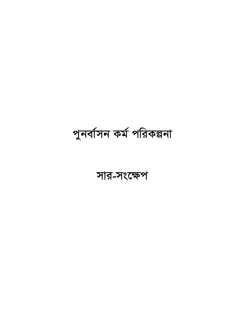# সার-সংক্ষেপ

পুনৰ্বাসন কৰ্ম পরিকল্পনা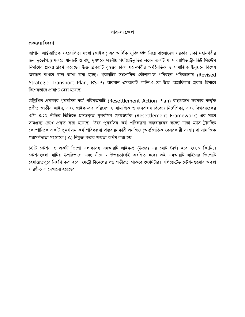#### সার-সংক্ষেপ

#### প্রকল্পের বিবরণ

জাপান আৰ্ন্তজাতিক সহযোগিতা সংস্থা (জাইকা) এর আর্থিক সুবিধা/ঋণ নিয়ে বাংলাদেশ সরকার ঢাকা মহানগরীর জন দুর্ভোগ হ্রাসকল্পে যানজট ও বায়ু দূষণকে সহনীয় পর্যায়েউনুতির লক্ষ্যে একটি ম্যাস র্যাপিড ট্রানজিট সিস্টেম নির্মাণের প্রকল্প গ্রহণ করেছে। উক্ত প্রকল্পটি বৃহত্তর ঢাকা মহানগরীর অর্থনৈতিক ও সামাজিক উনুয়নে বিশেষ অবদান রাখবে বলে আশা করা হচ্ছে। প্রকল্পটির সংশোধিত কৌশলগত পরিবহন পরিকল্পনায় (Revised Strategic Transport Plan, RSTP) আরবান এমআরটি লাইন-৫-কে উচ্চ অগ্রাধিকার প্রকল্প হিসাবে বিশেষভাবে প্রাধাণ্য দেয়া হয়েছে।

উল্লিখিত প্রকল্পের পুনর্বাসন কর্ম পরিকল্পনাটি (Resettlement Action Plan) বাংলাদেশ সরকার কর্তৃক প্রণীত জাতীয় আইন, এবং জাইকা-এর পরিবেশ ও সামাজিক ও জনবান্ধব বিবেচ্য নির্দেশিকা, এবং বিশ্বব্যাংকের ওপি ৪.১২ নীতির ভিত্তিতে প্রস্তুতকৃত পুনর্বাসন ফ্রেমওয়াকি (Resettlement Framework) এর সাথে সামঞ্জস্য রেখে প্রস্তুত করা হয়েছে। উক্ত পুনর্বাসন কর্ম পরিকল্পনা বাস্তবায়নের লক্ষ্যে ঢাকা ম্যাস ট্রানজিট কোম্পানিকে একটি পুনর্বাসন কর্ম পরিকল্পনা বাস্তবায়নকারী এনজিও (আর্ন্তজাতিক বেসরকারী সংস্থা) বা সামাজিক পরামর্শদাতা সংস্থাকে (IA) নিযুক্ত করার ক্ষমতা অর্পণ করা হয়।

১৪টি স্টেশন ও একটি ডিপো এলাকাসহ এমআরটি লাইন-৫ (উত্তর) এর মোট দৈর্ঘ্য হবে ২০.০ কি.মি.। স্টেশনগুলো মাটির উপরিভাগে এবং নীচে - উভয়ভাগেই অবস্থিত হবে। এই এমআরটি লাইনের ডিপোটি হেমায়েতপুরে নির্মাণ করা হবে। মেট্রো টানেলের গড গভীরতা থাকবে ৩০মিটার। এলিভেটেড স্টেশনগুলোর অবস্থা সারণী-১ এ দেখানো হয়েছে: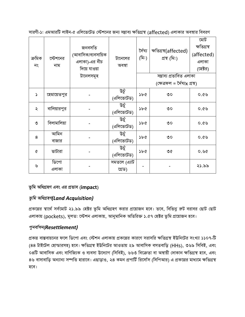| ক্ৰমিক<br>নং  | স্টেশনের<br>নাম | জনবসতি<br>(আবাসিক/ব্যবসায়িক<br>এলাকা)-এর নীচ<br>দিয়ে যাওয়া | টানেলের<br>অবস্থা   | ৰ্দৈঘ্য<br>(মি:) | ক্ষতিগ্ৰস্থ(affected)<br>প্ৰস্থ (মি:) | মোট<br>ক্ষতিগ্ৰস্থ<br>(affected)<br>এলাকা<br>(হেক্টর) |
|---------------|-----------------|---------------------------------------------------------------|---------------------|------------------|---------------------------------------|-------------------------------------------------------|
|               |                 | টানেলসমূহ                                                     |                     |                  | সম্ভাব্য প্ৰভাবিত এলাকা               |                                                       |
|               |                 |                                                               |                     |                  | (ক্ষেত্ৰফল = দৈঘ্যx প্ৰস্থ)           |                                                       |
| $\mathcal{L}$ | হেমায়েতপুর     |                                                               | উৰ্টু<br>(এলিভেটেড) | ১৮৫              | $\mathcal{O}$                         | 0.69                                                  |
| ২             | বালিয়ারপুর     |                                                               | উচুঁ<br>(এলিভেটেড)  | ১৮৫              | $\circ$                               | 0.69                                                  |
| ৩             | বিলামালিয়া     |                                                               | উৰ্চু<br>(এলিভেটেড) | ১৮৫              | $\circ$                               | 0.69                                                  |
| 8             | আমিন            |                                                               | উৰ্চু               | ১৮৫              | $\mathcal{O}^{\bullet}$               | 0.69                                                  |
|               | বাজার           |                                                               | (এলিভেটেড)          |                  |                                       |                                                       |
| $\sigma$      | ভাটারা          |                                                               | উৰ্চু<br>(এলিভেটেড) | ১৮৫              | ৩৫                                    | 0.96                                                  |
|               | ডিপো            |                                                               | সমতলে (এ্যাট        |                  |                                       |                                                       |
| ৬             | এলাকা           |                                                               | গ্ৰেড)              |                  |                                       | ২১.৯৯                                                 |

সারণী-১: এমআরটি লাইন-৫ এলিভেটেড স্টেশনের জন্য সম্ভাব্য ক্ষতিগ্রস্থ (affected) এলাকার অবস্থার বিবরণ

# ভূমি অধিগ্ৰহণ এবং এর প্রভাব (impact)

# *f'wg AwaMÖnY(Land Acquisition)*

প্রকল্পের স্বার্থে সর্বমোট ২১.৯৯ হেক্টর ভূমি অধিগ্রহণ করার প্রয়োজন হবে। তবে, বিভিনু রুট বরাবর ছোট ছোট এলাকায় (pockets), মূলত: স্টেশন এলাকায়, আনুমানিক অতিরিক্ত ১.৫৭ হেক্টর ভূমি প্রয়োজন হবে।

# *cybev©mb(Resettlement)*

প্রকল্প বাস্তবায়নের ফলে ডিপো এবং স্টেশন এলাকায় প্রকল্পের কারণে সরাসরি ক্ষতিগ্রস্থ ইউনিটের সংখ্যা ১১০৭-টি (৪৪ টাইটেল হোল্ডারসহ) হবে। ক্ষতিগ্রস্থ ইউনিটের আওতায় ২৯ আবাসিক বসতবাড়ি (HHs), ৩৬৯ সিবিই, এবং ০৪টি আবাসিক এবং বাণিজ্যিক ও ব্যবসা উদ্যোগ (সিবিই), ৬৬৩ বিক্ৰেতা বা অস্থায়ী দোকান ক্ষতিগ্ৰস্থ হবে, এবং ৪৬ বাসাবাড়ি অন্যান্য সম্পত্তি হারাবে। এছাড়াও, ২৪ কমন প্রপার্টি রির্সোস (সিপিআর) এ প্রকল্পের মাধ্যমে ক্ষতিগ্রস্থ হবে।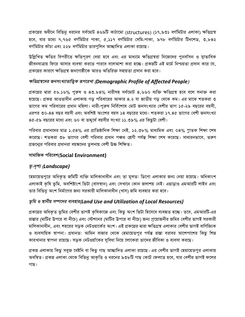প্রকল্পের অধীনে বিভিনু ধরনের সর্বমোট ৪৬৯টি কাঠামো (structures) (১৭,৯৩১ বর্গমিটার এলাকা) ক্ষতিগ্রস্থ হবে, যার মধ্যে ৭,৭৬৫ বর্গমিটার পাকা, ৫,১১৭ বর্গমিটার সেমি-পাকা, ৯৭৮ বর্গমিটার টিনশেড, ৩,৮৪২ বর্গমিটার কাঁচা এবং ২২৮ বর্গমিটার তারপুলিন আচ্ছাদিত এলাকা রয়েছে।

উল্লিখিত ক্ষতির বিপরীতে ক্ষতিপূরণ দেয়া হবে এবং এর মাধ্যমে ক্ষতিগ্রস্থরা নিজেদের পুনর্বাসন ও স্বাভাবিক জীবনযাত্রায় ফিরে আসার ব্যবস্থা করতে পারবে বলেআশা করা হচ্ছে। প্রকল্পটি এই মর্মে নিশ্চয়তা প্রদান করে যে, প্রকল্পের কারণে ক্ষতিগ্রস্থ জনগোষ্ঠীকে আরও অতিরিক্ত সহায়তা প্রদান করা হবে।

#### ক্ষতিগ্রস্থদের জনসংখ্যাতাত্ত্বিক রূপরেখা (Demographic Profile of Affected People)

প্রকল্পের দ্বারা ৫৬.১৬% পুরুষ ও ৪৩.৮৪% নারীসহ সর্বমোট ৪,৬৬০ ব্যক্তি ক্ষতিগ্রস্থ হবে বলে সনাক্ত করা হয়েছে। প্রকল্প আওতাধীন এলাকায় গড় পরিবারের আকার ৪.২ যা জাতীয় গড় থেকে কম। এর মাঝে শতকরা ৩ ভাগের কম পরিবারের প্রধান মহিলা। নারী-পুরুষ নির্বিশেষে মোট জনসংখ্যার বেশীর ভাগ ১৫-২৯ বছরের বয়সী, এরপর ৩০-৪৪ বছর বয়সী এবং অবশিষ্ট অংশের বয়স ১৪ বছরের মধ্যে। শতকরা ১৭.৪৫ ভাগের বেশী জনসংখ্যা ৪৫-৫৯ বছরের মধ্যে এবং ৬০ বা তদ্দর্ধে বয়সীর সংখ্যা ১১.৩৯% এর কিছুটা বেশী।

পরিবার প্রধানদের মাত্র ১.৫৪% এর প্রাতিষ্ঠানিক শিক্ষা নেই, ১২.৩৮% মাধ্যমিক এবং ০৪% স্নাতক শিক্ষা শেষ করেছে। শতকরা ৩৮ ভাগের বেশী পরিবার প্রধান পঞ্চম শ্রেণী পর্যন্ত শিক্ষা শেষ করেছে। সাধারনভাবে, তরুণ প্রজন্মের পরিবার প্রধানরা বয়স্কদের তুলনায় বেশী উচ্চ শিক্ষিত।

#### সামাজিক পরিবেশ(Social Environment)

# তূ-দৃশ্য (Landscape)

হেমায়েতপুরে অধিকৃত জমিটি ব্যক্তি মালিকানাধীন এবং তা মূলত: ডিপো এলাকার জন্য নেয়া হয়েছে। অধিকাংশ এলাকাই কৃষি ভূমি, অবশিষ্টাংশ ভিটা (বাসস্থান) এবং সেখানে কোন জলাশয় নেই। এছাড়াও এমআরটি লাইন এবং তার বিভিনু অংশ নির্মাণের জন্য সরকারী মালিকানাধীন (খাস) জমি ব্যবহার করা হবে।

# ভূমি ও স্থানীয় সম্পদের ব্যবহার(Land Use and Utilization of Local Resources)

প্রকল্পের অধিকৃত ভূমির বেশীর ভাগই কৃষিকাজে এবং কিছু অংশ ভিটা হিসেবে ব্যবহৃত হচ্ছে। তবে, এমআরটি-এর রাস্তার (মাটির উপরে বা নীচে) এবং স্টেশনের (মাটির উপরে বা নীচে) জন্য প্রয়োজনীর জমির বেশীর ভাগই সরকারী মালিকানাধীন, এবং শহরের সড়ক নেটওয়ার্কের অংশ। এই প্রকল্পের দ্বারা ক্ষতিগ্রস্থ এলাকার বেশীর ভাগই বাণিজ্যিক ও ব্যবসায়িক স্থাপনা। প্রধানত: আমিন বাজার থেকে হেমায়েতপুর পর্যন্ত রাস্তা বরাবর আশেপাশের কিছু শিল্প কারখানার স্থাপনা রয়েছে। সডক নেটওর্য়াকের সুবিধা নিয়ে লোকেরা তাদের জীবিকা ও ব্যবসা করছে।

প্রকল্প এলাকায় কিছু সবুজ বেষ্টনি বা কিছু গাছ আচ্ছাদিত এলাকা রয়েছে। এর বেশীর ভাগই হেমায়েতপুর এলাকায় অবস্থিত। প্রকল্প এলাকা থেকে বিভিনু আকৃতি ও ধরনের ৯৩৮টি গাছ কেটে ফেলতে হবে, যার বেশীর ভাগই ফলের গাছ।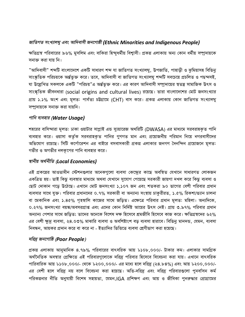## জাতিগত সংখ্যালঘু এবং আদিবাসী জনগোষ্ঠী (Ethnic Minorities and Indigenous People)

ক্ষতিগ্রস্থ পরিবারের ৯৬% মুসলিম এবং বাকিরা হিন্দুধর্মীয় বিশ্বাসী। প্রকল্প এলাকায় অন্য কোন ধর্মীয় সম্প্রদায়কে সনাক্ত করা যায় নি।

"আদিবাসী" শব্দটি বাংলাদেশে একটি সাধারণ শব্দ যা জাতিগত সংখ্যালঘু, উপজাতি, পাহাড়ী ও ঝুমিয়াসহ বিভিনু সাংস্কৃতিক পরিচয়কে অর্ন্তভুক্ত করে। তবে, আদিবাসী বা জাতিগত সংখ্যালঘু শব্দটি সবচেয়ে প্রচলিত ও পছন্দসই, যা উল্লেখিত সকলকে একটি "পরিচয়"এ অর্ন্তভূক্ত করে। এর কারণ আদিবাসী সম্প্রদায়ের স্বতন্ত্র সামাজিক উৎস ও সাংস্কৃতিক জীবনধারা (social origins and cultural lives) রয়েছে। তারা বাংলাদেশের মোট জনসংখ্যার প্রায় ১.১% অংশ এবং মূলত: পার্বত্য চউগ্রামে (CHT) বাস করে। প্রকল্প এলাকায় কোন জাতিগত সংখ্যালঘু সম্প্রদায়কে সনাক্ত করা যায়নি।

#### পানি ব্যবহার (Water Usage)

শহরের বাসিন্দারা মূলত: ঢাকা ওয়াটার সাপ্লাই এন্ড স্যুয়ারেজ অথরিটি (DWASA) এর মাধ্যমে সরবরাহকৃত পানি ব্যবহার করে। ওয়াসা কর্তৃক সরবরাহকৃত পানির গুণগত মান এবং প্রয়োজনীয় পরিমান নিয়ে নগরবাসীদের অভিযোগ রয়েছে। সিটি কর্পোরেশন এর বাইরে বসবাসকারী প্রকল্প এলাকার জনগণ দৈনন্দিন প্রয়োজনে মূলত: গভীর ও অগভীর নলকূপের পানি ব্যবহার করে।

## স্থানীয় অৰ্থনীতি (Local Economies)

এই প্রকল্পের আওতাধীন স্টেশনগুলার অনেকগুলো ব্যবসা কেন্দ্রের কাছে অবস্থিত যেখানে সাধারণত লোকজন একত্রিত হয়। তাই কিছু ব্যবস্থার মাধ্যমে অথবা যেখানে সুযোগ পেয়েছে সরকারী জায়গা দখল করে কিছু ব্যবসা ও ছোট দোকান গড়ে উঠেছে। এখানে মোট জনসংখ্যা ১,১০৭ জন এবং শতকরা ৯০ ভাগের বেশী পরিবার প্রধান ব্যবসার সাথে যুক্ত। পরিবার প্রধানদের ০.৭% সরকারী বা অন্যান্য সংস্থায় চাকুরীরত, ১.৫% রিকশা/ভ্যান চালনা বা মেকানিক এবং ১.৪৫% গৃহস্থালি কাজের সাথে জড়িত। এক্ষেত্রে পরিবার প্রধান মূলত: মহিলা। অন্যদিকে, ০.২৭% জনসংখ্যা বয়স্ক/অবসরপ্রাপ্ত এবং এদের কোন নির্দিষ্ট আয়ের উৎস নেই। প্রায় ৩.৯৭% পরিবার প্রধান অন্যান্য পেশার সাথে জডিত; তাদের অনেকে বিশেষ দক্ষ হিসেবে শ্রমজীবি হিসেবে কাজ করে। ক্ষতিগ্রস্থদের ৬২% এর বেশী ক্ষুদ্র ব্যবসা, ২৪.০৩% মাঝারি ব্যবসা ও অবশিষ্টাংশ বড় ব্যবসা হারাবে। বিভিনু মানদন্ড, যেমন, ব্যবসা নিবন্ধন, আয়কর প্রদান করে বা করে না - ইত্যাদির ভিত্তিতে ব্যবসা শ্রেণীভাগ করা হয়েছে।

#### দরিদ্র জনগোষ্ঠি (Poor People)

প্রকল্প এলাকায় আনুমানিক ৪.৭৯% পরিবারের বাৎসরিক আয় ৮১০৮,০০০/- টাকার কম। এলাকার সামগ্রিক অর্থনৈতিক অবস্থার প্রেক্ষিতে এই পরিবারগুলোকে দরিদ্র পরিবার হিসেবে বিবেচনা করা যায়। এখানে বাৎসরিক পারিবারিক আয় ৮১০৮,০০০/- থেকে ৮২০০,০০০/- এর মধ্যে হলে দরিদ্র (২৪.৮৪%) এবং আয় ৮২০০,০০০/-এর বেশী হলে দরিদ্র নয় বলে বিবেচনা করা হয়েছে। অতি-দরিদ্র এবং দরিদ্র পরিবারগুলো পুনর্বাসন কর্ম পরিকল্পনার নীতি অনুযায়ী বিশেষ সহায়তা, যেমন,IGA প্রশিক্ষণ এবং আয় ও জীবিকা পুনরুদ্ধার প্রোগ্রামের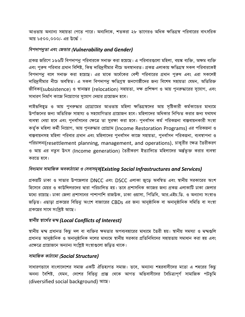আওতায় অন্যান্য সহায়তা পেতে পারে। অন্যদিকে, শতকরা ২৮ ভাগেরও অধিক ক্ষতিগ্রস্থ পরিবারের বাৎসরিক আয় ৮৫০০,০০০/- এর উর্দ্ধে ।

#### বিপদাপনুতা এবং জেভার (Vulnerability and Gender)

প্রকল্প জরিপে ১৬৬টি বিপদাপনু পরিবারকে সনাক্ত করা হয়েছে। এ পরিবারগুলো মহিলা, বয়স্ক ব্যক্তি, অক্ষম ব্যক্তি এবং পুরুষ পরিবার প্রধান বিশিষ্ট, কিন্তু দারিদ্রসীমার নীচে অবস্থানরত। প্রকল্প এলাকায় ক্ষতিগ্রস্থ সকল পরিবারকেই বিপদাপনু বলে সনাক্ত করা হয়েছে। এর মাঝে অর্ধেকের বেশী পরিবারের প্রধান পুরুষ এবং এরা সকলেই দারিদ্রসীমার নীচে অবস্থিত। এ সকল বিপদাপনু ক্ষতিগ্রস্থ জনগোষ্ঠীদের জন্য বিশেষ সহায়তা যেমন, অতিরিক্ত জীবিকা(subsistence) ও স্থানান্তর (relocation) সহায়তা, দক্ষ প্রশিক্ষণ ও আয় পুনরুদ্ধারের সুযোগ, এবং সাধারণ নির্মাণ কাজে নিয়োগের সুযোগ দেয়ার প্রয়োজন হবে।

লাইভলিহড ও আয় পুনরুদ্ধার প্রোগ্রামের আওতায় মহিলা ক্ষতিগ্রস্থদের আয় সষ্টিকারী কর্মকান্ডের মাধ্যমে উর্পাজনের জন্য অতিরিক্ত সাহায্য ও সহযোগিতার প্রয়োজন হবে। মহিলাদের অধিকার নিশ্চিত করার জন্য যথাযথ ব্যবস্থা নেয়া হবে এবং পুনর্বাসনের ক্ষেত্রে তা সুরক্ষা করা হবে। পুনর্বাসন কর্ম পরিকল্পনা বাস্তবায়নকারী সংস্থা কৰ্তৃক মহিলা কৰ্মী নিয়োগ, আয় পুনৰুদ্ধার প্ৰোগ্ৰাম (Income Restoration Programs) এর পরিকল্পনা ও বাস্তবায়নসহ মহিলা পরিবার প্রধান এবং মহিলাদের পুনর্বাসন কাজে সহায়তা, পুনর্বাসন পরিকল্পনা, ব্যবস্থাপনা ও পরিচালনা(resettlement planning, management, and operations), চাকুরীর ক্ষেত্র তৈরীকরণ ও আয় এর নতুন উৎস (Income generation) তৈরীকরণ ইত্যাদিতে মহিলাদের অর্ন্তভুক্ত করার ব্যবস্থা করতে হবে।

#### বিদ্যমান সামাজিক অবকাঠামো ও সেবাসমূহ(Existing Social Infrastructures and Services)

প্রকল্পটি ঢাকা ও সাভার উপজেলার DNCC এবং DSCC এলাকা জুড়ে অবস্থিত এবং স্থানীয় সরকারের অংশ হিসেবে মেয়র ও কাউন্সিলরদের দ্বারা পরিচালিত হয়। তবে প্রশাসনিক কাজের জন্য প্রকল্প এলাকাটি ঢাকা জেলার মধ্যে রয়েছে। ঢাকা জেলা প্রশাসনের পাশাপাশি রাজউক, ঢাকা ওয়াসা, পিডিবি, আর.এইচ.ডি. ও অন্যান্য সংস্থাও জড়িত। এছাড়া প্রকল্পের বিভিনু অংশে বাজারের CBDs এর জন্য আনুষ্ঠানিক বা অনানুষ্ঠানিক সমিতি বা সংস্থা প্রকল্পের সাথে সংশ্লিষ্ট আছে।

#### স্থানীয় স্বাৰ্থের দ্বন্দ্ব (Local Conflicts of Interest)

স্থানীয় দ্বন্দ্ব প্রধানত কিছু দল বা ব্যক্তির ক্ষমতার অপব্যবহারের মাধ্যমে তৈরী হয়। স্থানীয় সমস্যা ও দ্বন্দগুলি প্রধানত আনুষ্ঠানিক ও অনানুষ্ঠানিক দলের মাধ্যমে স্থানীয় সরকার প্রতিনিধিদের সহায়তায় সমাধান করা হয় এবং এক্ষেত্রে প্রয়োজনে অন্যান্য সংশ্লিষ্ট সংস্থাগুলো জড়িত থাকে।

#### সামাজিক কাঠামো (Social Structure)

সাধারণভাবে বাংলাদেশের সমাজ একটি ঐতিহ্যগত সমাজ। তবে, অন্যান্য শহরবাসীদের মতো এ শহরের কিছু অনন্য বৈশিষ্ট, যেমন, দেশের বিভিনু প্রান্ত থেকে আগত অভিবাসীদের বৈচিত্র্যপূর্ণ সামাজিক পটভূমি (diversified social background) আছে।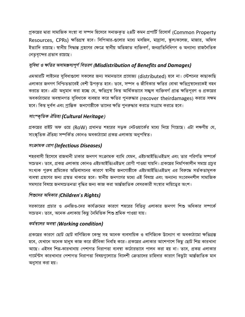প্রকল্পের দ্বারা সামাজিক সংস্থা বা সম্পদ হিসেবে সনাক্তকৃত ২৪টি কমন প্রপার্টি রিসোর্স (Common Property Resources, CPRs) ক্ষতিগ্রস্থ হবে। সিপিআর-গুলোর মধ্যে মসজিদ, মাদ্রাসা, স্কুল/কলেজ, মাজার, অফিস ইত্যাদি রয়েছে। স্থানীয় সিদ্ধান্ত গ্রহণের ক্ষেত্রে স্থানীয় অভিজাত ব্যক্তিবর্গ, জনপ্রতিনিধিগণ ও অন্যান্য রাজনৈতিক নেতৃবৃন্দের প্রভাব রয়েছে।

# সুবিধা ও ক্ষতির অসামঞ্জস্যপূর্ণ বিতরণ (Misdistribution of Benefits and Damages)

এমআরটি লাইনের সুবিধাগুলো সকলের জন্য সমানভাবে প্রযোজ্য (distributed) হবে না। স্টেশনের কাছাকাছি এলাকার জনগণ নিশ্চিতভাবেই বেশী উপকৃত হবে। তবে, সম্পদ ও জীবিকার ক্ষতির বোঝা ক্ষতিগ্রস্থদেরকেই বহন করতে হবে। এটা অনুমান করা হচ্ছে যে, ক্ষতিগ্রস্থ কিন্তু আর্থিকভাবে সচ্ছুল ব্যক্তিবর্গ প্রাপ্ত ক্ষতিপূরণ ও প্রকল্পের অবকাঠামোর অবস্থানগত সুবিধাকে ব্যবহার করে ক্ষতির পুনরুদ্ধার (recover theirdamages) করতে সক্ষম হবে। কিন্তু দুর্বল এবং প্রান্তিক জনগোষ্ঠীকে তাদের ক্ষতি পুনরুদ্ধার করতে সংগ্রাম করতে হবে।

## সাংস্কৃতিক ঐতিহ্য (Cultural Heritage)

প্রকল্পের রাইট অফ ওয়ে (RoW) প্রধানত শহরের সড়ক নেটওয়ার্কের মধ্যে দিয়ে গিয়েছে। এটা লক্ষণীয় যে, সাংস্কৃতিক ঐতিহ্য সম্পর্কিত কোনও অবকাঠামো প্রকল্প এলাকায় অনুপস্থিত।

#### সংক্রামক রোগ (Infectious Diseases)

শহরবাসী হিসেবে রাজধানী ঢাকার জনগণ সংক্রামক ব্যাধি যেমন, এইচআইভি/এইডস্ এবং তার পরিণতি সম্পর্কে সচেতন। তবে, প্রকল্প এলাকায় কোনও এইচআইভি/এইডস্ রোগী পাওয়া যায়নি। প্রকল্পের নির্মাণকালীন সময়ে প্রচুর সংখ্যক পুরুষ শ্রমিকের অভিবাসনের কারণে স্থানীয় জনগোষ্ঠীকে এইচআইভি/এইডস এর বিরুদ্ধে সর্তকতামূলক ব্যবস্থা গ্রহণের জন্য প্রস্তুত থাকতে হবে। স্থানীয় জনগণের মধ্যে এই বিষয়ে এবং অন্যান্য সংবেদনশীল সামাজিক সমস্যার বিষয়ে জনসচেতনতা বৃদ্ধির জন্য কাজ করা আর্ন্তজাতিক বেসরকারী সংস্থার দায়িত্বের অংশ।

#### শিশুদের অধিকার (Children's Rights)

সরকারের প্রচার ও এনজিও-দের কার্যক্রমের কারণে শহরের বিভিনু এলাকার জনগণ শিশু অধিকার সম্পর্কে সচেতন। তবে, অনেক এলাকায় কিছু নৈমিত্তিক শিশু শ্ৰমিক পাওয়া যায়।

# কর্মস্থলের অবস্থা (Working condition)

প্ৰকল্পের কারণে ছোট ছোট বাণিজ্যিক কেন্দ্র সহ অনেক ব্যবসায়িক ও বাণিজ্যিক উদ্যোগ বা অবকাঠামো ক্ষতিগ্রস্ত হবে, যেখানে অনেক মানুষ কাজ করে জীবিকা নির্বাহ করে। প্রকল্পের এলাকার আশেপাশে কিছু ছোট শিল্প কারখানা আছে। এইসব শিল্প-কারখানায় পেশাগত নিরাপত্তা ব্যবস্থা কঠোরভাবে পালন করা হয় না। তবে, প্রকল্প এলাকার গার্মেন্টস কারখানার পেশাগত নিরাপত্তা বিষয়গুলোতে বিদেশী ক্রেতাদের চাহিদার কারণে কিছুটা আর্ন্তজাতিক মান অনুসার করা হয়।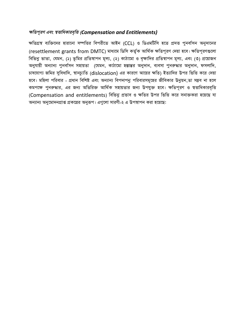# ক্ষতিপুরণ এবং স্বভাধিকারবৃত্তি (Compensation and Entitlements)

ক্ষতিগ্রস্থ ব্যক্তিদের হারানো সম্পত্তির বিপরীতে আইন (CCL) ও ডিএমটিসি হতে প্রদত্ত পুনর্বাসন অনুদানের (resettlement grants from DMTC) মাধ্যমে ডিসি কর্তৃক আর্থিক ক্ষতিপূরণ দেয়া হবে। ক্ষতিপূরণগুলো বিভিন্ন ভাতা, যেমন, (১) ভূমির প্রতিস্থাপন মূল্য, (২) কাঠামো ও বৃক্ষাদির প্রতিস্থাপন মূল্য, এবং (৩) প্রয়োজন অনুযায়ী অন্যান্য পুনর্বাসন সহায়তা (যেমন, কাঠামো হস্তান্তর অনুদান, ব্যবসা পুনরুদ্ধার অনুদান, ফসলাদি, চাষযোগ্য জমির সুবিধাদি, স্থানচ্যুতি (dislocation) এর কারণে আয়ের ক্ষতি) ইত্যাদির উপর ভিত্তি করে দেয়া হবে। মহিলা পরিবার - প্রধান বিশিষ্ট এবং অন্যান্য বিপদাপনু পরিবারসমূহের জীবিকার উনুয়ন,তা সম্ভব না হলে কমপক্ষে পুনরুদ্ধার, এর জন্য অতিরিক্ত আর্থিক সহায়তার জন্য উপযুক্ত হবে। ক্ষতিপূরণ ও স্বত্তাধিকারবৃত্তি (Compensation and entitlements) বিভিনু প্রভাব ও ক্ষতির উপর ভিত্তি করে সনাক্তকরা হয়েছে যা অন্যান্য অনুমোদনপ্রাপ্ত প্রকল্পের অনুরূপ। এগুলো সারণী-২ এ উপস্থাপন করা হয়েছে: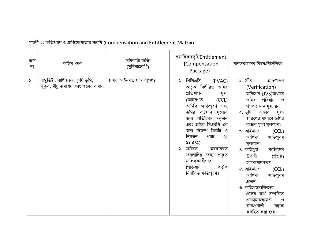| ক্ৰম<br>নং            | ক্ষতির ধরণ                                                             | অধিকারী ব্যক্তি<br>(সুবিধাভোগী) | স্বভাধিকারবৃত্তিEntitlement<br>(Compensation<br>Package)                                                                                                                                                                                                                                                                                                                     | বাস্তবায়নের বিষয়/নির্দেশিকা                                                                                                                                                                                                                                                                                                                                                                                                                                                                                |
|-----------------------|------------------------------------------------------------------------|---------------------------------|------------------------------------------------------------------------------------------------------------------------------------------------------------------------------------------------------------------------------------------------------------------------------------------------------------------------------------------------------------------------------|--------------------------------------------------------------------------------------------------------------------------------------------------------------------------------------------------------------------------------------------------------------------------------------------------------------------------------------------------------------------------------------------------------------------------------------------------------------------------------------------------------------|
| $\blacktriangleright$ | বাস্কুভিটা, বাণিজ্যিক, কৃষি ভূমি,<br>পুকুর, নীচু জলাশয় এবং ফলের বাগান | জমির আইনগত মালিক(গণ)            | ১. পিভিএসি<br>(PVAC)<br>কর্তৃক নির্ধারিত জমির<br>প্ৰতিস্থাপন<br>মূল্য<br>(আইনগত<br>(CCL)<br>আৰ্থিক ক্ষতিপূরণ এবং<br>জমির বর্তমান মূল্যের<br>জন্য অতিরিক্ত অনুদান<br>এবং জমির সিএমপি এর<br>জন্য স্ট্যাম্প ডিউটি ও<br>নিবন্ধন<br>খরচ<br>$^{\circ}$<br>$33.0\%$ )<br>২. জমিতে<br>অবস্থানরত<br>ফসলাদির জন্য প্রকৃত<br>মালিক/চাষীদের<br>পিভিএসি<br>কৰ্তৃক<br>নিৰ্ধারিত ক্ষতিপূরণ। | ১. যৌথ<br>শ্ৰতিপাদন<br>(Verification)<br>জরিপের (JVS)মাধ্যমে<br>জমির<br>পরিমান<br>ଓ<br>গুণগত মান মূল্যায়ন।<br>২. ভূমি<br>বাজার<br>মূল্য<br>জরিপের মাধ্যমে জমির<br>বাজার মূল্য মূল্যায়ন।<br>৩. আইনানুগ<br>(CCL)<br>আৰ্থিক<br>ক্ষতিপূরণ<br>মূল্যায়ন।<br>৪. ক্ষতিগ্ৰস্থ<br>ব্যক্তিদের<br>উপাধী<br>(title)<br>হালনাগাদকরণ।<br>৫. আইনানুগ<br>(CCL)<br>আৰ্থিক<br>ক্ষতিপূরণ<br>প্ৰদান।<br>৬. ক্ষতিগ্রস্থব্যক্তিদের<br>প্ৰদেয় অৰ্থ সৰ্ম্পকিত<br>এনটাইটেলমেন্ট<br>ও<br>কাৰ্যপ্ৰণালী<br>সম্বন্ধে<br>অবহিত করা হবে। |

সারণী-২: ক্ষতিপূরণ ও প্রাপ্তিযোগ্যতার সারণি (Compensation and Entitlement Matrix)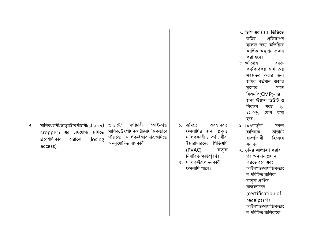|   |                                                                                                                   |                                                                                                                     |                                                                                                                                                                                    | ৭. ডিসি-এর CCL ভিত্তিতে<br>জমির<br>প্ৰতিস্থাপন<br>মূল্যের জন্য অতিরিক্ত<br>আৰ্থিক অনুদান প্ৰদান<br>করা হবে।<br>৮. ক্ষতিগ্ৰস্থ<br>ব্যক্তি<br>কর্তৃকবিকল্প জমি ক্রয়<br>সহজতর করার জন্য                                                                                                            |
|---|-------------------------------------------------------------------------------------------------------------------|---------------------------------------------------------------------------------------------------------------------|------------------------------------------------------------------------------------------------------------------------------------------------------------------------------------|--------------------------------------------------------------------------------------------------------------------------------------------------------------------------------------------------------------------------------------------------------------------------------------------------|
|   |                                                                                                                   |                                                                                                                     |                                                                                                                                                                                    | জমির বর্তমান বাজার<br>মূল্যের<br>সাথে<br>সিএমপি(CMP)-এর<br>জন্য স্ট্যাম্প ডিউটি ও<br>নিবন্ধন<br>খরচ<br>$^{\circ}$<br>33.0%<br>যোগ<br>করা<br>হবে।                                                                                                                                                 |
| ২ | মালিক/চাষী/ভাড়াটে/বৰ্গাচাষী(shared<br>cropper) এর চাষযোগ্য জমিতে<br>প্রবেশাধীকার<br>হারানো<br>(losing<br>access) | বৰ্গাচাষী<br>/আইনগত<br>ভাড়াটে/<br>মালিক/উৎপাদনকারী/সামাজিকভাবে<br>পরিচিত মালিক/ইজারাদার/জমিতে<br>অননুমোদিত বাসকারী | ১. জমিতে<br>অবস্থানরত<br>ফসলাদির জন্য প্রকৃত<br>মালিক/চাষী / বর্গাচাষীবা<br>ইজারাদারদের পিভিএসি<br>কৰ্তৃক<br>(PVAC)<br>নিৰ্ধারিত ক্ষতিপূরণ।<br>২. মালিক/উৎপাদনকারী<br>ফসলাদি পাবে। | ১. JVSকৰ্তৃক<br>সকল<br>ব্যক্তিকে<br>ভাড়াটে<br>বাবর্গাচাষী<br>হিসেবে<br>সনাক্ত<br>২. ভূমির অধিগ্রহণ করার<br>পর অনুদান প্রদান<br>করতে হবে এবং<br>আইনগত/সামাজিকভা<br>ব পরিচিত মালিক<br>কর্তৃক প্রাপ্তির<br>সাক্ষ্যদানের<br>(certification of<br>receipt) পর<br>আইনগত/সামাজিকভা<br>ব পরিচিত মালিককে |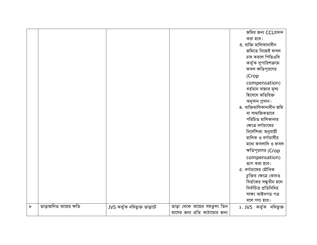|             |                       |                             |                               | জমির জন্য CCLপ্রদান       |
|-------------|-----------------------|-----------------------------|-------------------------------|---------------------------|
|             |                       |                             |                               | করা হবে।                  |
|             |                       |                             |                               | ৩. ব্যক্তি মালিকানাধীন    |
|             |                       |                             |                               | জমিতে নিজেই ফসল           |
|             |                       |                             |                               | চাষ করলে পিভিএসি          |
|             |                       |                             |                               | কর্তৃক সুপারিশক্রমে       |
|             |                       |                             |                               | ফসল ক্ষতিপূরণের           |
|             |                       |                             |                               | (Crop                     |
|             |                       |                             |                               | compensation)             |
|             |                       |                             |                               | বর্তমান বাজার মূল্য       |
|             |                       |                             |                               | হিসেবে অতিরিক্ত           |
|             |                       |                             |                               | অনুদান প্ৰদান।            |
|             |                       |                             |                               | ৪. ব্যক্তিমালিকানাধীন জমি |
|             |                       |                             |                               | বা সামাজিকভাবে            |
|             |                       |                             |                               | পরিচিত মালিকানার          |
|             |                       |                             |                               | ক্ষেত্রে বর্গাচাষের       |
|             |                       |                             |                               | নিৰ্দেশিকা অনুযায়ী       |
|             |                       |                             |                               | মালিক ও বর্গাচাষীর        |
|             |                       |                             |                               | মধ্যে ফসলাদি ও ফসল        |
|             |                       |                             |                               | ক্ষতিপূরণের (Crop         |
|             |                       |                             |                               | compensation)             |
|             |                       |                             |                               | ভাগ করা হবে।              |
|             |                       |                             |                               | ৫. বর্গাচাষের মৌখিক       |
|             |                       |                             |                               | চুক্তির ক্ষেত্রে কোনও     |
|             |                       |                             |                               | বির্তকের সম্মুখীন হলে     |
|             |                       |                             |                               | নিৰ্বাচিত প্ৰতিনিধির      |
|             |                       |                             |                               | সাক্ষ্য আইনগত পত্ৰ        |
|             |                       |                             |                               | বলে গণ্য হবে।             |
| $\mathbf b$ | ভাড়াজনিত আয়ের ক্ষতি | JVS কৰ্তৃক নথিভুক্ত ভাড়াটে | ভাড়া থেকে আয়ের সমতুল্য তিন  | ১. JVS কৰ্তৃক নথিভুক্ত    |
|             |                       |                             | মাসের জন্য প্রতি কাঠামোর জন্য |                           |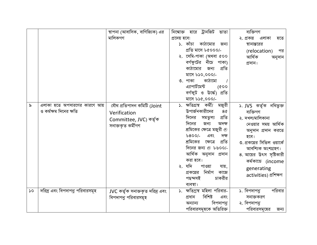|               |                                | স্থাপনা (আবাসিক, বাণিজ্যিক) এর  | নিম্মোক্ত হারে ট্রানজিট<br>ভাতা                | ব্যক্তিগণ                   |
|---------------|--------------------------------|---------------------------------|------------------------------------------------|-----------------------------|
|               |                                | মালিকগণ                         | প্ৰদেয় হবে:                                   | ২. প্রকল্প<br>এলাকা<br>হতে  |
|               |                                |                                 | কাঠামোর<br>১. কাঁচা<br>জন্য                    | স্থানান্তরের                |
|               |                                |                                 | প্ৰতি মাসে ৮৫০০০/-                             | (relocation)<br>পর          |
|               |                                |                                 | ২. সেমি-পাকা (অথবা ৫০০                         | আৰ্থিক<br>অনুদান            |
|               |                                |                                 | বর্গফুটের<br>নীচে<br>পাকা)                     | প্ৰদান।                     |
|               |                                |                                 | কাঠামোর<br>প্ৰতি<br>জন্য                       |                             |
|               |                                |                                 | মাসে ৮১০,০০০/-                                 |                             |
|               |                                |                                 | কাঠামো<br>৩. পাকা                              |                             |
|               |                                |                                 | এ্যাপার্টমেন্ট<br>(600)                        |                             |
|               |                                |                                 | বৰ্গফুট ও ঊৰ্দ্ধে)<br>প্ৰতি                    |                             |
|               |                                |                                 | মাসে ৮১৫,০০০/-                                 |                             |
| ৯             | এলাকা হতে অপসারণের কারণে আয়   | যৌথ প্ৰতিপাদন কমিটি (Joint      | ক্ষতিগ্ৰস্থ কৰ্মী/<br>মজুরী<br>$\mathcal{L}$ . | ১. JVS কৰ্তৃক নথিভুক্ত      |
|               | ও কর্মক্ষম দিনের ক্ষতি         | Verification                    | উপার্জনকারীদের<br>8¢                           | ব্যক্তিগণ                   |
|               |                                | Committee, JVC) কৰ্তৃক          | প্ৰতি<br>দিনের<br>সমতুল্য                      | ২. দখল/মালিকানা             |
|               |                                | সনাক্তকৃত কৰ্মীগণ               | দিনের<br>জন্য<br>অদক্ষ                         | নেওয়ার সময় আর্থিক         |
|               |                                |                                 | শ্রমিকের ক্ষেত্রে মজুরী $\circledcirc$         | অনুদান প্রদান করতে          |
|               |                                |                                 | $6800/-$<br>এবং<br>দক্ষ                        | হবে।                        |
|               |                                |                                 | প্ৰতি<br>শ্রমিকের<br>ক্ষেত্ৰে                  | ৩. প্রকল্পের সিভিল ওয়ার্কে |
|               |                                |                                 | দিনের জন্য @ ৮৬০০/-                            | আবশ্যিক অংশগ্ৰহণ।           |
|               |                                |                                 | আৰ্থিক অনুদান প্ৰদান                           | ৪. আয়ের উৎস সৃষ্টিকারী     |
|               |                                |                                 | করা হবে।                                       | কৰ্মকান্ডে (income          |
|               |                                |                                 | যদি<br>পাওয়া<br>যায়,<br>২.                   | generating                  |
|               |                                |                                 | নিৰ্মাণ<br>কাজে<br>প্রকল্পের                   | activities) প্ৰশিক্ষণ       |
|               |                                |                                 | চাকরীর<br>পছন্দসই                              |                             |
|               |                                |                                 | ব্যবস্থা।                                      |                             |
| $\mathcal{L}$ | দরিদ্র এবং বিপদাপনু পরিবারসমূহ | JVC কৰ্তৃক সনাক্তকৃত দরিদ্র এবং | ১. ক্ষতিগ্ৰস্থ মহিলা পরিবার-                   | ১. বিপদাপনু<br>পরিবার       |
|               |                                | বিপদাপনু পরিবারসমূহ             | বিশিষ্ট<br>প্ৰধান<br>এবং                       | সনাক্তকরণ                   |
|               |                                |                                 | বিপদাপনু<br>অন্যান্য                           | ২. বিপদাপনু                 |
|               |                                |                                 | পরিবারসমূহকে অতিরিক্ত                          | পরিবারসমূহের<br>জন্য        |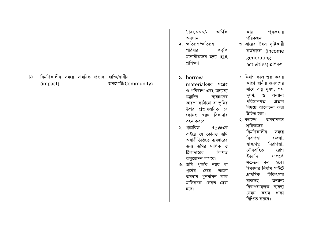|               |                                               |                                         | আৰ্থিক<br>$60,000/-$<br>অনুদান<br>২. ক্ষতিগ্ৰস্থ/ক্ষতিগ্ৰন্থ<br>পরিবার<br>কৰ্তৃক<br>মনোনীতদের জন্য IGA<br>প্ৰশিক্ষণ                                                                                                                                                                                                                                                                                                                      | পুনরুদ্ধার<br>আয়<br>পরিকল্পনা<br>৩. আয়ের উৎস সৃষ্টিকারী<br>কৰ্মকান্ডে (income<br>generating<br>activities) প্ৰশিক্ষণ                                                                                                                                                                                                                                                                                                                                                                                           |
|---------------|-----------------------------------------------|-----------------------------------------|------------------------------------------------------------------------------------------------------------------------------------------------------------------------------------------------------------------------------------------------------------------------------------------------------------------------------------------------------------------------------------------------------------------------------------------|------------------------------------------------------------------------------------------------------------------------------------------------------------------------------------------------------------------------------------------------------------------------------------------------------------------------------------------------------------------------------------------------------------------------------------------------------------------------------------------------------------------|
| $\mathcal{L}$ | নিৰ্মাণকালীন সময়ে সাময়িক প্ৰভাব<br>(impact) | ব্যক্তি/স্থানীয়<br>জনগোষ্ঠী(Community) | s. borrow<br>materialsএর সংগ্রহ<br>ও পরিবহণ এবং অন্যান্য<br>যন্ত্রাদির<br>ব্যবহারের<br>কারণে কাঠামো বা ভূমির<br>উপর প্রভাবজনিত যে<br>খরচ ঠিকাদার<br>কোনও<br>বহন করবে।<br>২. প্ৰস্তাবিত<br>RoWএর<br>বাইরে যে কোনও জমি<br>অস্থায়ীভিত্তিতে ব্যবহারের<br>জন্য জমির মালিক ও<br>ঠিকাদারের<br>লিখিত<br>অনুমোদন লাগবে।<br>৩. জমি পূর্বের ন্যায়<br>ৰা<br>পূর্বের<br>চেয়ে<br>ভালো<br>অবস্থায় পুনর্বাসন<br>করে<br>মালিককে ফেরত<br>দেয়া<br>হবে। | ১. নির্মাণ কাজ শুরু করার<br>আগে স্থানীয় জনগণের<br>সাথে বায়ু দূষণ, শব্দ<br>দূষণ,<br>$\mathcal{O}$<br>অন্যান্য<br>পরিবেশগত<br>প্ৰভাব<br>বিষয়ে আলোচনা করা<br>উচিত হবে।<br>২. ক্যাম্পে<br>অবস্থানরত<br>শ্রমিকদের<br>নিৰ্মাণকালীন<br>সময়ে<br>নিরাপত্তা<br>ব্যবস্থা,<br>নিরাপত্তা,<br>স্বাস্থ্যগত<br>যৌনবাহিত<br>রোগ<br>ইত্যাদি<br>সম্পৰ্কে<br>সচেতন<br>হবে।<br>করা<br>ঠিকাদার নির্মাণ সাইটে<br>প্ৰাথমিক<br>চিকিৎসার<br>বাক্সসহ<br>অন্যান্য<br>নিরাপত্তামূলক<br>ব্যবস্থা<br>থাকা<br>যেমন<br>কন্ডম<br>নিশ্চিত করবে। |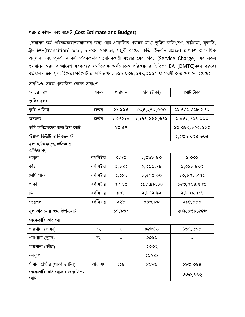#### খরচ প্রাক্কালন এবং বাজেট (Cost Estimate and Budget)

পুনর্বাসন কর্ম পরিকল্পনাবাস্তবায়নের জন্য মোট প্রাক্কালিত খরচের মধ্যে ভূমির ক্ষতিপূরণ, কাঠামো, বৃক্ষাদি, ট্রানজিশন(transition) ভাতা, স্থানান্তর সহায়তা, মজুরী আয়ের ক্ষতি, ইত্যাদি রয়েছে। প্রশিক্ষণ ও আর্থিক অনুদান এবং পুনর্বাসন কর্ম পরিকল্পনাবাস্তবায়নকারী সংস্থার সেবা খরচ (Service Charge) -সহ সকল পুনর্বাসন খরচ বাংলাদেশ সরকারের সম্মতিপ্রাপ্ত অর্থনৈতিক পরিকল্পনার ভিত্তিতে EA (DMTC)বহন করবে। বর্তমান বাজার মূল্য হিসেবে সর্বমোট প্রাক্কালিত খরচ ৮১৯,০৩৮,৬৭৭,৩৯৬/- যা সারণী-৩ এ দেখানো হয়েছে:

| ক্ষতির ধরণ                           | একক       | পরিমান  | হার (টাকা)                 | মোট টাকা       |
|--------------------------------------|-----------|---------|----------------------------|----------------|
| ভূমির ধরণ                            |           |         |                            |                |
| কৃষি ও ভিটা                          | হেক্টর    | ২১.৯৯৫  | ৫২৪,২৭০,০০০                | 33,003,03b,00  |
| অন্যান্য                             | হেক্টর    | ১.৫৭২১৮ | ১,১৭৭,৬৬৬,৬৭৯              | 5,665,608,000  |
| ভূমি অধিগ্রহণের জন্য উপ-মোট          |           | ২৩.৫৭   |                            | ১৩,৩৮২,৮২২,৬৫০ |
| স্ট্যাম্প ডিউটি ও নিবন্ধন ফী         |           |         |                            | 3,605,028,000  |
| মূল কাঠামো (আবাসিক ও<br>বাণিজ্যিক)   |           |         |                            |                |
| খড়ের                                | বর্গমিটার | 0.50    | $\lambda$ , ৩৯৮.৮০         | 5,005          |
| কাঁচা                                | বর্গমিটার | 0,682   | ২,৩৯৯.৪৮                   | $b,2$ >b,b02   |
| সেমি-পাকা                            | বর্গমিটার | 8,339   | b, 696.00                  | 80,696,290     |
| পাকা                                 | বর্গমিটার | 9,990   | $\frac{1}{6}, \frac{1}{6}$ | 560,908,699    |
| টিন                                  | বর্গমিটার | ৯৭৮     | ২,৮৭২.৯২                   | ২,৮০৯,৭১৬      |
| তেরপল                                | বর্গমিটার | ২২৮     | 89.55                      | ২১৫,৮৮৯        |
| মূল কাঠামোর জন্য উপ-মোট              |           | ১৭,৯৩১  |                            | ২০৯,৮৫৮,৫৫৮    |
| সেকেভারি কাঠামো                      |           |         |                            |                |
| পায়খানা (পাকা)                      | নং        | ৩       | 86689                      | ১৩৭,৫৩৮        |
| পায়খানা (স্ল্যাব)                   | নং        |         | $cc$ ৯১                    |                |
| পায়খানা (কাঁচা)                     |           |         | ৩৩৩২                       |                |
| নলকূপ                                |           |         | 00288                      |                |
| সীমানা প্রাচীর (পাকা ও টিন)          | আর এম     | 558     | ১৬৯৬                       | 550,088        |
| সেকেন্ডারি কাঠামো-এর জন্য উপ-<br>মোট |           |         |                            | 000, b62       |

সারণী-৩: সূচক প্রাক্কালিত খরচের সারাংশ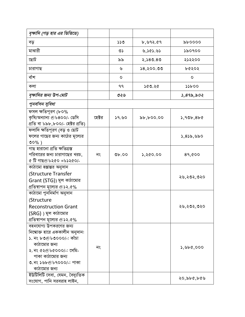| বৃক্ষাদি (গড় হার এর ভিত্তিতে)                                                                                                                                                                                                 |        |            |            |                 |
|--------------------------------------------------------------------------------------------------------------------------------------------------------------------------------------------------------------------------------|--------|------------|------------|-----------------|
| বড়                                                                                                                                                                                                                            |        | 339        | b,992.69   | $\delta b$ 0000 |
| মাঝারী                                                                                                                                                                                                                         |        | ৩১         | 0,000.82   | ১৯০৭০০          |
| ঢ়োট                                                                                                                                                                                                                           |        | ৯৯         | 2,580.80   | ২১২২০০          |
| চারাগাছ                                                                                                                                                                                                                        |        | ৬          | \$8,500.00 | ৮৫২০২           |
| বাঁশ                                                                                                                                                                                                                           |        | $\circ$    |            | O               |
| কলা                                                                                                                                                                                                                            |        | ۹۹         | ১৫৩.২৫     | 55b00           |
| বৃক্ষাদির জন্য উপ-মোট                                                                                                                                                                                                          |        | ৩২৬        |            | 3,895,502       |
| পুনর্বাসন সুবিধা                                                                                                                                                                                                               |        |            |            |                 |
| ফসল ক্ষতিপূরণ (৮০%<br>কৃষি/অন্যান্য @৮৪০০/- ডেসি<br>প্ৰতি বা ৮৯৮,৮০০/- হেক্টর প্রতি)                                                                                                                                           | হেক্টর | ১৭.৬০      | ৯৮,৮০০.০০  | 5,90b,8b0       |
| ফলাদি ক্ষতিপুরণ (বড় ও ছোট<br>ফলের গাছের জন্য কাঠের মূল্যের<br>$00\%$ )                                                                                                                                                        |        |            |            | ১,৪১৯,৬৯০       |
| গাছ হারানো প্রতি ক্ষতিগ্রস্ত<br>পরিবারের জন্য চারাগাছের খরচ,<br>৫ টি গাছ@৮২৫০ =৮১২৫০/-                                                                                                                                         | নং     | $v_{b.00}$ | ১,২৫০.০০   | 89,000          |
| কাঠামো হস্তান্তর অনুদান<br>(Structure Transfer<br>Grant (STG)) মূল কাঠামোর<br>প্রতিস্থাপন মূল্যের @১২.৫%                                                                                                                       |        |            |            | ২৬,২৩২,৩২০      |
| কাঠামো পুননিৰ্মাণ অনুদান<br>(Structure<br><b>Reconstruction Grant</b><br>$(SRG)$ ) মূল কাঠামোর<br>প্রতিস্থাপন মূল্যের @১২.৫%                                                                                                   |        |            |            | ২৬,২৩২,৩২০      |
| বহনযোগ্য উপকরণের জন্য<br>নিম্মোক্ত হারে এককালীন অনুদান:<br>১. নং ৮৩⊚৮৩০০০/-: কাঁচা<br>কাঠামোর জন্য<br>২. নং ৫২@৮৫০০০/-: সেমি-<br>পাকা কাঠামোর জন্য<br>৩.নং ১৬৮@৮৭০০০/-: পাকা<br>কাঠামোর জন্য<br>ইউটিলিটি সেবা, যেমন, বৈদ্যুতিক | নং     |            |            | 3,966,000       |
| সংযোগ, পানি সরবরাহ লাইন,                                                                                                                                                                                                       |        |            |            | ২০,৯৮৫,৮৫৬      |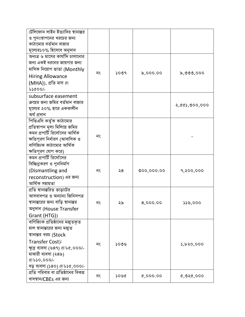| টেলিফোন লাইন ইত্যাদির স্থানান্তর    |    |      |            |            |
|-------------------------------------|----|------|------------|------------|
| ও পুনঃস্থাপনের খরচের জন্য           |    |      |            |            |
| কাঠামোর বর্তমান বাজার               |    |      |            |            |
| মূল্যের১০% হিসেবে অনুদান            |    |      |            |            |
| অন্যত্র ৬ মাসের কার্যাদি চালানোর    |    |      |            |            |
| জন্য একই ধরনের জায়গার জন্য         |    |      |            |            |
| মাসিক নিয়োগ ভাতা (Monthly          |    |      |            |            |
| <b>Hiring Allowance</b>             | নং | ১০৩৭ | 5,000.00   | ৯,৩৩৩,০০০  |
| (MHA)), প্ৰতি মাস @                 |    |      |            |            |
| <b>bscoo/-</b>                      |    |      |            |            |
| subsurface easement                 |    |      |            |            |
| ক্রয়ের জন্য জমির বর্তমান বাজার     |    |      |            |            |
| মূল্যের ২০% হারে এককালীন            |    |      |            | 2,000,000  |
| অৰ্থ প্ৰদান                         |    |      |            |            |
| পিভিএসি কর্তৃক কাঠামোর              |    |      |            |            |
| প্রতিস্থাপন মূল্য মিলিয়ে জমির      |    |      |            |            |
| কমন প্রপার্টি রির্সোসের আর্থিক      |    |      |            |            |
| ক্ষতিপূরণ নির্ধারণ (আবাসিক ও        | নং |      |            |            |
| বাণিজ্যিক কাঠামোর আর্থিক            |    |      |            |            |
| ক্ষতিপূরণ যোগ করে)                  |    |      |            |            |
| কমন প্রপার্টি রির্সোসের             |    |      |            |            |
| বিচ্ছিনুকরণ ও পুননির্মাণ            |    |      |            |            |
| (Dismantling and                    | নং | ২৪   | 000,000.00 | 9,२००,०००  |
| reconstruction) এর জন্য             |    |      |            |            |
| আৰ্থিক সহায়তা                      |    |      |            |            |
| প্রতি স্থানান্তরিত ভাড়াটের         |    |      |            |            |
| আসবাবপত্ৰ ও অন্যান্য জিনিসপত্ৰ      |    |      |            |            |
| স্থানান্তরের জন্য বাড়ি স্থানান্তর  | নং | ২৯   | 8,000.00   | 339,000    |
| অনুদান (House Transfer              |    |      |            |            |
| Grant (HTG))                        |    |      |            |            |
| বাণিজ্যিক প্রতিষ্ঠানের মজুতকৃত      |    |      |            |            |
| মাল স্থানান্তরের জন্য মজুত          |    |      |            |            |
| স্থানান্তর খরচ (Stock               |    |      |            |            |
| Transfer Cost):                     | নং | ১০৩৬ |            | ১,৮২০,০০০  |
| ক্ষুদ্র ব্যবসা (৬৪৭) @৮৫,০০০/-      |    |      |            |            |
| মাঝারী ব্যবসা (২৪৯)                 |    |      |            |            |
| ®৳১০,০০০/-                          |    |      |            |            |
| বড় ব্যবসা (১৪০) @৮১৫,০০০/-         |    |      |            |            |
| প্রতি পরিবার বা প্রতিষ্ঠানের বিকল্প |    |      |            |            |
| বাসস্থান/CBEs এর জন্য               | নং | ১০৬৫ | 0,000,00   | Q, Q, Q, Q |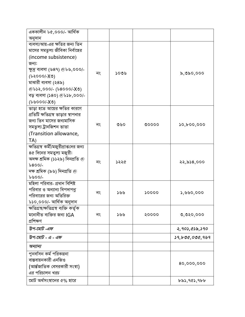| এককালীন ৮৫,০০০/- আৰ্থিক                |    |      |       |                   |
|----------------------------------------|----|------|-------|-------------------|
| অনুদান                                 |    |      |       |                   |
| ব্যবসা/আয়-এর ক্ষতির জন্য তিন          |    |      |       |                   |
| মাসের সমতুল্য জীবিকা নির্বাহের         |    |      |       |                   |
| (income subsistence)                   |    |      |       |                   |
| জন্য:                                  |    |      |       |                   |
| ক্ষুদ্র ব্যবসা (৬৪৭) @৮৬,০০০/-         |    |      |       |                   |
| $(6x) - (6000)$                        | নং | ১০৩৬ |       | ৯,৩৯০,০০০         |
| মাঝারী ব্যবসা (২৪৯)                    |    |      |       |                   |
| ®৮১২,০০০/- (৮৪০০০/-X৩)                 |    |      |       |                   |
| বড় ব্যবসা (১৪০) @৮১৮,০০০/-            |    |      |       |                   |
| $(0 \times 0000)$                      |    |      |       |                   |
| ভাড়া হতে আয়ের ক্ষতির কারণে           |    |      |       |                   |
| প্রতিটি ক্ষতিগ্রস্থ ভাড়ার স্থাপনার    |    |      |       |                   |
| জন্য তিন মাসের জন্যমাসিক               |    |      |       |                   |
| সমতুল্য ট্ৰানজিশন ভাতা                 | নং | ৩৬০  | 00000 | 50,000,000        |
| (Transition allowance,                 |    |      |       |                   |
| TA)                                    |    |      |       |                   |
| ক্ষতিগ্রস্থ কর্মী/মজুরীপ্রাপ্তদের জন্য |    |      |       |                   |
| ৪৫ দিনের সমত্বল্য মজুরী:               |    |      |       |                   |
| অদক্ষ শ্ৰমিক (১১২৯) দিনপ্ৰতি @         | নং | ১২২৫ |       | ২২,৯১৪,০০০        |
| $6800/-$                               |    |      |       |                   |
| দক্ষ শ্ৰমিক (৯৬) দিনপ্ৰতি @            |    |      |       |                   |
| 600/1                                  |    |      |       |                   |
| মহিলা পরিবার- প্রধান বিশিষ্ট           |    |      |       |                   |
| পরিবার ও অন্যান্য বিপদাপনু             | নং | ১৬৬  | 50000 | 3,990,000         |
| পরিবারের জন্য অতিরিক্ত                 |    |      |       |                   |
| ৮১০,০০০/- আৰ্থিক অনুদান                |    |      |       |                   |
| ক্ষতিগ্ৰস্থ/ক্ষতিগ্ৰস্থ ব্যক্তি কৰ্তৃক |    |      |       |                   |
| মনোনীত ব্যক্তির জন্য IGA               | নং | ১৬৬  | ২০০০০ | 0,020,000         |
| প্ৰশিক্ষণ                              |    |      |       |                   |
| উপ-মোট -এফ                             |    |      |       | ২,৭০১,৫১৯,১৭০     |
| উপ-মোট - এ - এফ                        |    |      |       | 59, b00, 000, 909 |
| অন্যান্য                               |    |      |       |                   |
| পুনৰ্বাসন কৰ্ম পরিকল্পনা               |    |      |       |                   |
| বাস্তবায়নকারী এনজিও                   |    |      |       |                   |
| (আৰ্ন্তজাতিক বেসরকারী সংস্থা)          |    |      |       | 80,000,000        |
| এর পরিচালন খরচ                         |    |      |       |                   |
| মোট অর্থসংস্থানের ৫% হারে              |    |      |       | ৮৯১,৭৫১,৭৮৮       |
|                                        |    |      |       |                   |